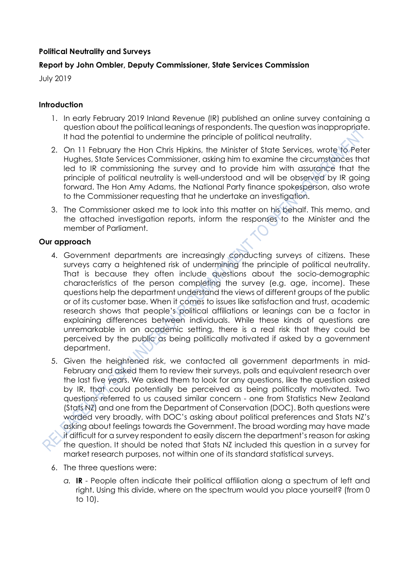# **Political Neutrality and Surveys**

# **Report by John Ombler, Deputy Commissioner, State Services Commission**

July 2019

### **Introduction**

- 1. In early February 2019 Inland Revenue (IR) published an online survey containing a question about the political leanings of respondents. The question was inappropriate. It had the potential to undermine the principle of political neutrality.
- 2. On 11 February the Hon Chris Hipkins, the Minister of State Services, wrote to Peter Hughes, State Services Commissioner, asking him to examine the circumstances that led to IR commissioning the survey and to provide him with assurance that the principle of political neutrality is well-understood and will be observed by IR going forward. The Hon Amy Adams, the National Party finance spokesperson, also wrote to the Commissioner requesting that he undertake an investigation.
- 3. The Commissioner asked me to look into this matter on his behalf. This memo, and the attached investigation reports, inform the responses to the Minister and the member of Parliament.

#### **Our approach**

- 4. Government departments are increasingly conducting surveys of citizens. These surveys carry a heightened risk of undermining the principle of political neutrality. That is because they often include questions about the socio-demographic characteristics of the person completing the survey (e.g. age, income). These questions help the department understand the views of different groups of the public or of its customer base. When it comes to issues like satisfaction and trust, academic research shows that people's political affiliations or leanings can be a factor in explaining differences between individuals. While these kinds of questions are unremarkable in an academic setting, there is a real risk that they could be perceived by the public as being politically motivated if asked by a government department.
- 5. Given the heightened risk, we contacted all government departments in mid-February and asked them to review their surveys, polls and equivalent research over the last five years. We asked them to look for any questions, like the question asked by IR, that could potentially be perceived as being politically motivated. Two questions referred to us caused similar concern - one from Statistics New Zealand (Stats NZ) and one from the Department of Conservation (DOC). Both questions were worded very broadly, with DOC's asking about political preferences and Stats NZ's asking about feelings towards the Government. The broad wording may have made it difficult for a survey respondent to easily discern the department's reason for asking the question. It should be noted that Stats NZ included this question in a survey for market research purposes, not within one of its standard statistical surveys.
- 6. The three questions were:
	- *a.* **IR** People often indicate their political affiliation along a spectrum of left and right. Using this divide, where on the spectrum would you place yourself? (from 0 to 10).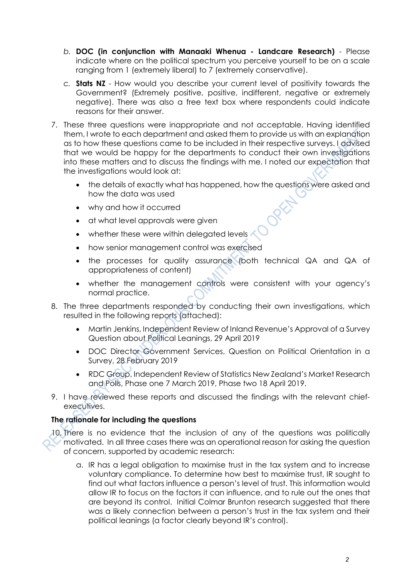- *b.* **DOC (in conjunction with Manaaki Whenua Landcare Research)** Please indicate where on the political spectrum you perceive yourself to be on a scale ranging from 1 (extremely liberal) to 7 (extremely conservative).
- *c.* **Stats NZ** How would you describe your current level of positivity towards the Government? (Extremely positive, positive, indifferent, negative or extremely negative). There was also a free text box where respondents could indicate reasons for their answer.
- 7. These three questions were inappropriate and not acceptable. Having identified them, I wrote to each department and asked them to provide us with an explanation as to how these questions came to be included in their respective surveys. I advised that we would be happy for the departments to conduct their own investigations into these matters and to discuss the findings with me. I noted our expectation that the investigations would look at:
	- the details of exactly what has happened, how the questions were asked and how the data was used
	- why and how it occurred
	- at what level approvals were given
	- whether these were within delegated levels
	- how senior management control was exercised
	- the processes for quality assurance (both technical QA and QA of appropriateness of content)
	- whether the management controls were consistent with your agency's normal practice.
- 8. The three departments responded by conducting their own investigations, which resulted in the following reports (attached):
	- Martin Jenkins, Independent Review of Inland Revenue's Approval of a Survey Question about Political Leanings, 29 April 2019
	- DOC Director Government Services, Question on Political Orientation in a Survey, 28 February 2019
	- RDC Group, Independent Review of Statistics New Zealand's Market Research and Polls, Phase one 7 March 2019, Phase two 18 April 2019.
- 9. I have reviewed these reports and discussed the findings with the relevant chiefexecutives.

### **The rationale for including the questions**

- 10. There is no evidence that the inclusion of any of the questions was politically motivated. In all three cases there was an operational reason for asking the question of concern, supported by academic research:
	- a. IR has a legal obligation to maximise trust in the tax system and to increase voluntary compliance. To determine how best to maximise trust, IR sought to find out what factors influence a person's level of trust. This information would allow IR to focus on the factors it can influence, and to rule out the ones that are beyond its control. Initial Colmar Brunton research suggested that there was a likely connection between a person's trust in the tax system and their political leanings (a factor clearly beyond IR's control).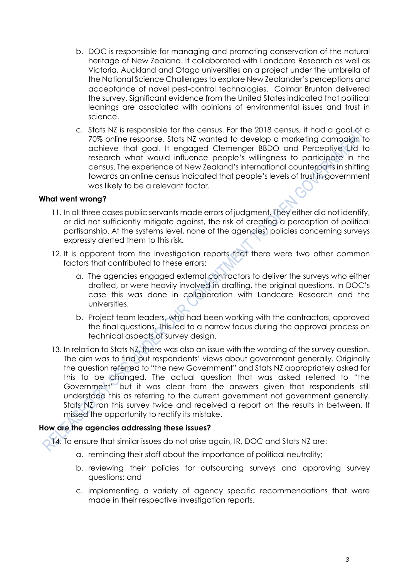- b. DOC is responsible for managing and promoting conservation of the natural heritage of New Zealand. It collaborated with Landcare Research as well as Victoria, Auckland and Otago universities on a project under the umbrella of the National Science Challenges to explore New Zealander's perceptions and acceptance of novel pest-control technologies. Colmar Brunton delivered the survey. Significant evidence from the United States indicated that political leanings are associated with opinions of environmental issues and trust in science.
- c. Stats NZ is responsible for the census. For the 2018 census, it had a goal of a 70% online response. Stats NZ wanted to develop a marketing campaign to achieve that goal. It engaged Clemenger BBDO and Perceptive Ltd to research what would influence people's willingness to participate in the census. The experience of New Zealand's international counterparts in shifting towards an online census indicated that people's levels of trust in government was likely to be a relevant factor.

#### **What went wrong?**

- 11. In all three cases public servants made errors of judgment. They either did not identify, or did not sufficiently mitigate against, the risk of creating a perception of political partisanship. At the systems level, none of the agencies' policies concerning surveys expressly alerted them to this risk.
- 12. It is apparent from the investigation reports that there were two other common factors that contributed to these errors:
	- a. The agencies engaged external contractors to deliver the surveys who either drafted, or were heavily involved in drafting, the original questions. In DOC's case this was done in collaboration with Landcare Research and the universities.
	- b. Project team leaders, who had been working with the contractors, approved the final questions. This led to a narrow focus during the approval process on technical aspects of survey design.
- 13. In relation to Stats NZ, there was also an issue with the wording of the survey question. The aim was to find out respondents' views about government generally. Originally the question referred to "the new Government" and Stats NZ appropriately asked for this to be changed. The actual question that was asked referred to "the Government" but it was clear from the answers given that respondents still understood this as referring to the current government not government generally. Stats NZ ran this survey twice and received a report on the results in between. It missed the opportunity to rectify its mistake.

### **How are the agencies addressing these issues?**

14. To ensure that similar issues do not arise again, IR, DOC and Stats NZ are:

- a. reminding their staff about the importance of political neutrality;
- b. reviewing their policies for outsourcing surveys and approving survey questions; and
- c. implementing a variety of agency specific recommendations that were made in their respective investigation reports.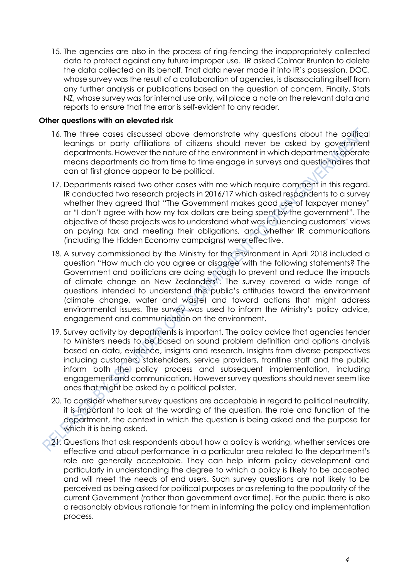15. The agencies are also in the process of ring-fencing the inappropriately collected data to protect against any future improper use. IR asked Colmar Brunton to delete the data collected on its behalf. That data never made it into IR's possession. DOC, whose survey was the result of a collaboration of agencies, is disassociating itself from any further analysis or publications based on the question of concern. Finally, Stats NZ, whose survey was for internal use only, will place a note on the relevant data and reports to ensure that the error is self-evident to any reader.

#### **Other questions with an elevated risk**

- 16. The three cases discussed above demonstrate why questions about the political leanings or party affiliations of citizens should never be asked by government departments. However the nature of the environment in which departments operate means departments do from time to time engage in surveys and questionnaires that can at first glance appear to be political.
- 17. Departments raised two other cases with me which require comment in this regard. IR conducted two research projects in 2016/17 which asked respondents to a survey whether they agreed that "The Government makes good use of taxpayer money" or "I don't agree with how my tax dollars are being spent by the government". The objective of these projects was to understand what was influencing customers' views on paying tax and meeting their obligations, and whether IR communications (including the Hidden Economy campaigns) were effective.
- 18. A survey commissioned by the Ministry for the Environment in April 2018 included a question "How much do you agree or disagree with the following statements? The Government and politicians are doing enough to prevent and reduce the impacts of climate change on New Zealanders". The survey covered a wide range of questions intended to understand the public's attitudes toward the environment (climate change, water and waste) and toward actions that might address environmental issues. The survey was used to inform the Ministry's policy advice, engagement and communication on the environment.
- 19. Survey activity by departments is important. The policy advice that agencies tender to Ministers needs to be based on sound problem definition and options analysis based on data, evidence, insights and research. Insights from diverse perspectives including customers, stakeholders, service providers, frontline staff and the public inform both the policy process and subsequent implementation, including engagement and communication. However survey questions should never seem like ones that might be asked by a political pollster.
- 20. To consider whether survey questions are acceptable in regard to political neutrality, it is important to look at the wording of the question, the role and function of the department, the context in which the question is being asked and the purpose for which it is being asked.
- 21. Questions that ask respondents about how a policy is working, whether services are effective and about performance in a particular area related to the department's role are generally acceptable. They can help inform policy development and particularly in understanding the degree to which a policy is likely to be accepted and will meet the needs of end users. Such survey questions are not likely to be perceived as being asked for political purposes or as referring to the popularity of the current Government (rather than government over time). For the public there is also a reasonably obvious rationale for them in informing the policy and implementation process.